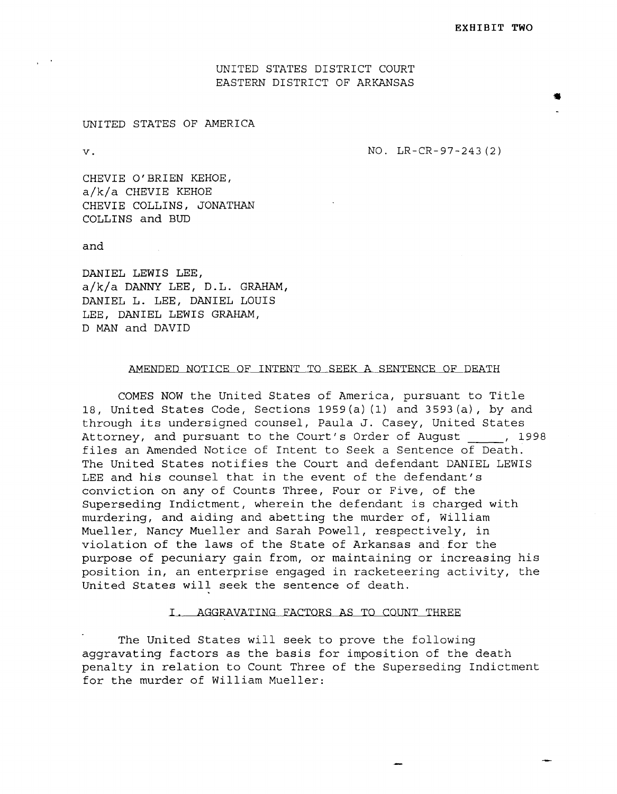UNITED STATES DISTRICT COURT EASTERN DISTRICT OF ARKANSAS

### UNITED STATES OF AMERICA

v. NO. LR-CR-97-243 (2)

CHEVIE O'BRIEN KEHOE, a/k/a CHEVIE KEHOE CHEVIE COLLINS, JONATHAN COLLINS and BUD

and

DANIEL LEWIS LEE, a/k/a DANNY LEE, D.L. GRAHAM, DANIEL L. LEE, DANIEL LOUIS LEE, DANIEL LEWIS GRAHAM, D MAN and DAVID

#### AMENDED NOTICE OF INTENT TO SEEK A SENTENCE OF DEATH

COMES NOW the United States of America, pursuant to Title 18, United States Code, Sections 1959(a) (1) and 3593(a), by and through its undersigned counsel, Paula J. Casey, United States Attorney, and pursuant to the Court's Order of August (a), 1998 files an Amended Notice of Intent to Seek a Sentence of Death. The United States notifies the Court and defendant DANIEL LEWIS LEE and his counsel that in the event of the defendant's conviction on any of Counts Three, Four or Five, of the Superseding Indictment, wherein the defendant is charged with murdering, and aiding and abetting the murder of, William Mueller, Nancy Mueller and Sarah Powell, respectively, in violation of the laws of the State of Arkansas and for the purpose of pecuniary gain from, or maintaining or increasing his position in, an enterprise engaged in racketeering activity, the United States will seek the sentence of death.

#### I. AGGRAVATING FACTORS AS TO COUNT THREE

The United States will seek to prove the following aggravating factors as the basis for imposition of the death penalty in relation to Count Three of the Superseding Indictment for the murder of William Mueller: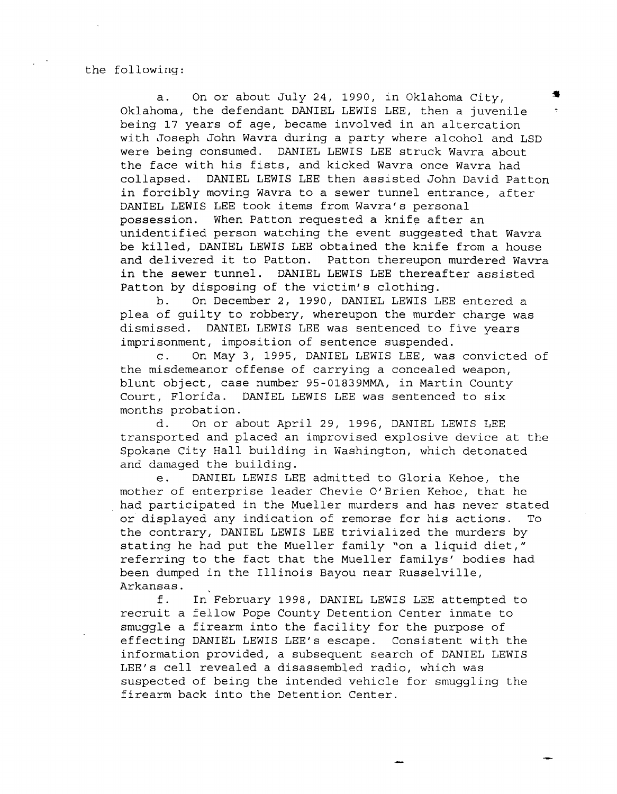the following:

a. On or about July 24, 1990, in Oklahoma City, Oklahoma, the defendant DANIEL LEWIS LEE, then a juvenile being 17 years of age, became involved in an altercation with Joseph John Wavra during a party where alcohol and LSD were being consumed. DANIEL LEWIS LEE struck Wavra about the face with his fists, and kicked Wavra once Wavra had collapsed. DANIEL LEWIS LEE then assisted John David Patton in forcibly moving Wavra to a sewer tunnel entrance, after DANIEL LEWIS LEE took items from Wavra's personal possession. When Patton requested a knife after an unidentified person watching the event suggested that Wavra be killed, DANIEL LEWIS LEE obtained the knife from a house and delivered it to Patton. Patton thereupon murdered Wavra in the sewer tunnel. DANIEL LEWIS LEE thereafter assisted Patton by disposing of the victim's clothing.

b. On December 2, 1990, DANIEL LEWIS LEE entered a plea of guilty to robbery, whereupon the murder charge was dismissed. DANIEL LEWIS LEE was sentenced to five years imprisonment, imposition of sentence suspended.

c. On May 3, 1995, DANIEL LEWIS LEE, was convicted of the misdemeanor offense of carrying a concealed weapon, blunt object, case number 95-01839MMA, in Martin County Court, Florida. DANIEL LEWIS LEE was sentenced to six months probation.

d. On or about April 29, 1996, DANIEL LEWIS LEE transported and placed an improvised explosive device at the Spokane City Hall building in Washington, which detonated and damaged the building.

e. DANIEL LEWIS LEE admitted to Gloria Kehoe, the mother of enterprise leader Chevie O'Brien Kehoe, that he had participated in the Mueller murders and has never stated or displayed any indication of remorse for his actions. To the contrary, DANIEL LEWIS LEE trivialized the murders by stating he had put the Mueller family "on a liquid diet," referring to the fact that the Mueller familys' bodies had been dumped in the Illinois Bayou near Russelville, Arkansas.

f. In February 1998, DANIEL LEWIS LEE attempted to recruit a fellow Pope County Detention Center inmate to smuggle a firearm into the facility for the purpose of effecting DANIEL LEWIS LEE's escape. Consistent with the information provided, a subsequent search of DANIEL LEWIS LEE's cell revealed a disassembled radio, which was suspected of being the intended vehicle for smuggling the firearm back into the Detention Center.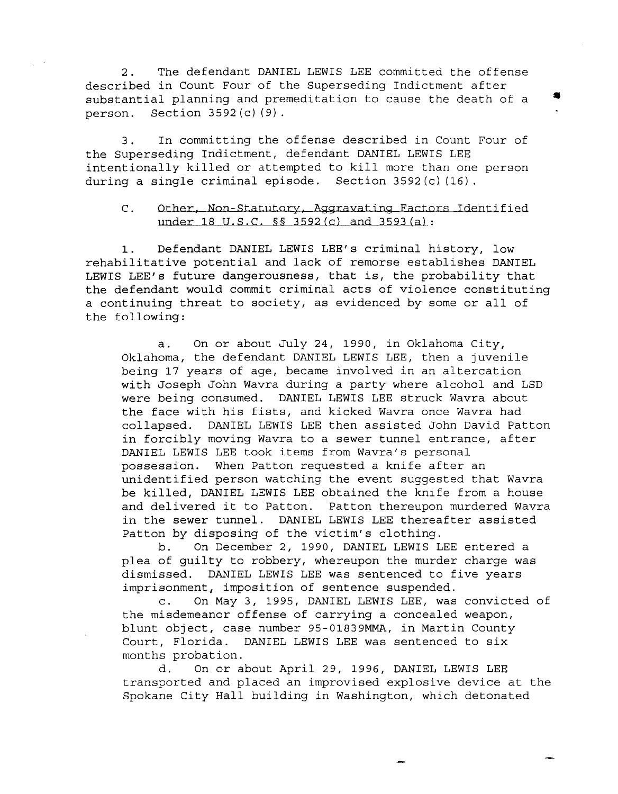2. The defendant DANIEL LEWIS LEE committed the offense described in Count Four of the Superseding Indictment after substantial planning and premeditation to cause the death of a person. Section 3592(c) (9).

3. In committing the offense described in Count Four of the Superseding Indictment, defendant DANIEL LEWIS LEE intentionally killed or attempted to kill more than one person during a single criminal episode. Section 3592(c) (16).

### C. Other, Non-Statutory, Aggravating Factors Identified under 18 U.S.C. §§ 3592(c) and 3593(a):

1. Defendant DANIEL LEWIS LEE's criminal history, low rehabilitative potential and lack of remorse establishes DANIEL LEWIS LEE's future dangerousness, that is, the probability that the defendant would commit criminal acts of violence constituting a continuing threat to society, as evidenced by some or all of the following:

a. On or about July 24, 1990, in Oklahoma City, Oklahoma, the defendant DANIEL LEWIS LEE, then a juvenile being 17 years of age, became involved in an altercation with Joseph John Wavra during a party where alcohol and LSD were being consumed. DANIEL LEWIS LEE struck Wavra about the face with his fists, and kicked Wavra once Wavra had collapsed. DANIEL LEWIS LEE then assisted John David Patton in forcibly moving Wavra to a sewer tunnel entrance, after DANIEL LEWIS LEE took items from Wavra's personal possession. When Patton requested a knife after an unidentified person watching the event suggested that Wavra be killed, DANIEL LEWIS LEE obtained the knife from a house and delivered it to Patton. Patton thereupon murdered Wavra in the sewer tunnel. DANIEL LEWIS LEE thereafter assisted Patton by disposing of the victim's clothing.

b. On December 2, 1990, DANIEL LEWIS LEE entered a plea of guilty to robbery, whereupon the murder charge was dismissed. DANIEL LEWIS LEE was sentenced to five years imprisonment, imposition of sentence suspended.

c. On May 3, 1995, DANIEL LEWIS LEE, was convicted of the misdemeanor offense of carrying a concealed weapon, blunt object, case number 95-01839MMA, in Martin County Court, Florida. DANIEL LEWIS LEE was sentenced to six months probation.

d. On or about April 29, 1996, DANIEL LEWIS LEE transported and placed an improvised explosive device at the Spokane City Hall building in Washington, which detonated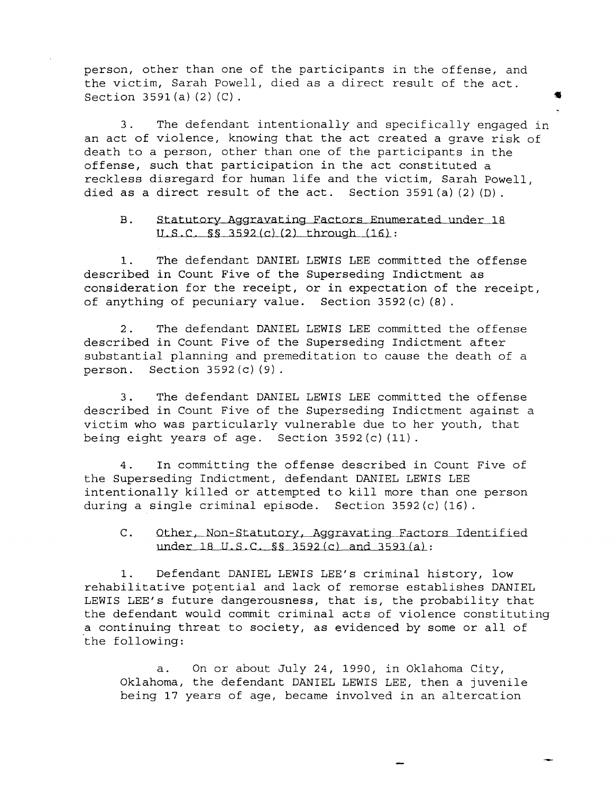person, other than one of the participants in the offense, and the victim, Sarah Powell, died as a direct result of the act. Section  $3591(a) (2) (C)$ .

3. The defendant intentionally and specifically engaged in an act of violence, knowing that the act created a grave risk of death to a person, other than one of the participants in the offense, such that participation in the act constituted a reckless disregard for human life and the victim, Sarah Powell, died as a direct result of the act. Section 3591(a) (2) (D).

### B. Statutory Aggravating Factors Enumerated under 18 U.S.C §§ 3592(c) (2) through (16):

1. The defendant DANIEL LEWIS LEE committed the offense described in Count Five of the Superseding Indictment as consideration for the receipt, or in expectation of the receipt, of anything of pecuniary value. Section 3592(c) (8).

2. The defendant DANIEL LEWIS LEE committed the offense described in Count Five of the Superseding Indictment after substantial planning and premeditation to cause the death of a person. Section 3592 (c) (9) .

3. The defendant DANIEL LEWIS LEE committed the offense described in Count Five of the Superseding Indictment against a victim who was particularly vulnerable due to her youth, that being eight years of age. Section 3592 (c) (11) .

4. In committing the offense described in Count Five of the Superseding Indictment, defendant DANIEL LEWIS LEE intentionally killed or attempted to kill more than one person during a single criminal episode. Section 3592 (c) (16) .

C. Other, Non-Statutory. Aggravating Factors Identified under 18 U.S.C. §§ 3592(c) and 3593(a):

1. Defendant DANIEL LEWIS LEE's criminal history, low rehabilitative potential and lack of remorse establishes DANIEL LEWIS LEE's future dangerousness, that is, the probability that the defendant would commit criminal acts of violence constituting .a continuing threat to society, as evidenced by some or all of the following:

a. On or about July 24, 1990, in Oklahoma City, Oklahoma, the defendant DANIEL LEWIS LEE, then a juvenile being 17 years of age, became involved in an altercation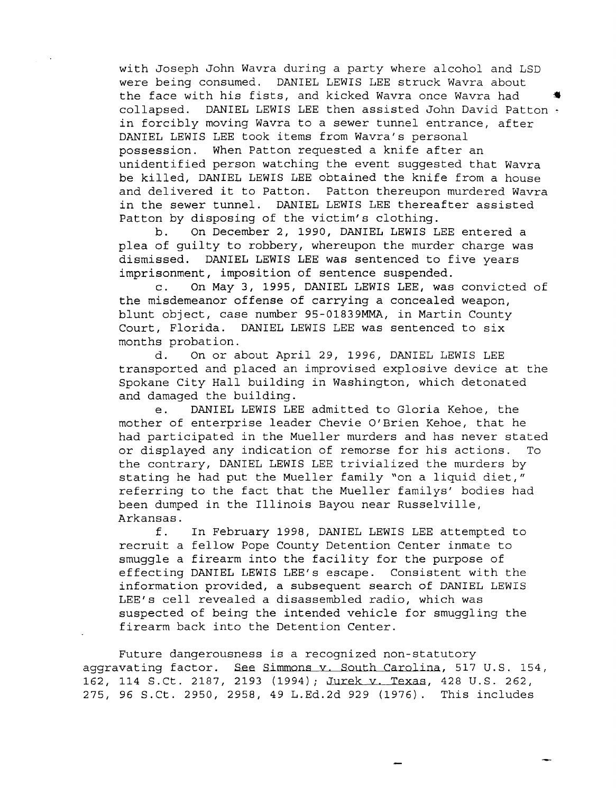with Joseph John Wavra during a party where alcohol and LSD were being consumed. DANIEL LEWIS LEE struck Wavra about the face with his fists, and kicked Wavra once Wavra had • collapsed. DANIEL LEWIS LEE then assisted John David Patton in forcibly moving Wavra to a sewer tunnel entrance, after DANIEL LEWIS LEE took items from Wavra's personal possession. When Patton requested a knife after an unidentified person watching the event suggested that Wavra be killed, DANIEL LEWIS LEE obtained the knife from a house and delivered it to Patton. Patton thereupon murdered Wavra in the sewer tunnel. DANIEL LEWIS LEE thereafter assisted Patton by disposing of the victim's clothing.

b. On December 2, 1990, DANIEL LEWIS LEE entered a plea of guilty to robbery, whereupon the murder charge was dismissed. DANIEL LEWIS LEE was sentenced to five years imprisonment, imposition of sentence suspended.

c. On May 3, 1995, DANIEL LEWIS LEE, was convicted of the misdemeanor offense of carrying a concealed weapon, blunt object, case number 95-01839MMA, in Martin County Court, Florida. DANIEL LEWIS LEE was sentenced to six months probation.

d. On or about April 29, 1996, DANIEL LEWIS LEE transported and placed an improvised explosive device at the Spokane City Hall building in Washington, which detonated and damaged the building.

e. DANIEL LEWIS LEE admitted to Gloria Kehoe, the mother of enterprise leader Chevie O'Brien Kehoe, that he had participated in the Mueller murders and has never stated or displayed any indication of remorse for his actions. To the contrary, DANIEL LEWIS LEE trivialized the murders by stating he had put the Mueller family "on a liquid diet," referring to the fact that the Mueller familys' bodies had been dumped in the Illinois Bayou near Russelville, Arkansas.

f. In February 1998, DANIEL LEWIS LEE attempted to recruit a fellow Pope County Detention Center inmate to smuggle a firearm into the facility for the purpose of effecting DANIEL LEWIS LEE's escape. Consistent with the information provided, a subsequent search of DANIEL LEWIS LEE's cell revealed a disassembled radio, which was suspected of being the intended vehicle for smuggling the firearm back into the Detention Center.

Future dangerousness is a recognized non-statutory aggravating factor. See Simmons v. South Carolina, 517 U.S. 154, 162, 114 S.Ct. 2187, 2193 (1994) *i* Jurek v. Texas, 428 U.S. 262, 275, 96 S.Ct. 2950, 2958, 49 L.Ed.2d 929 (1976). This includes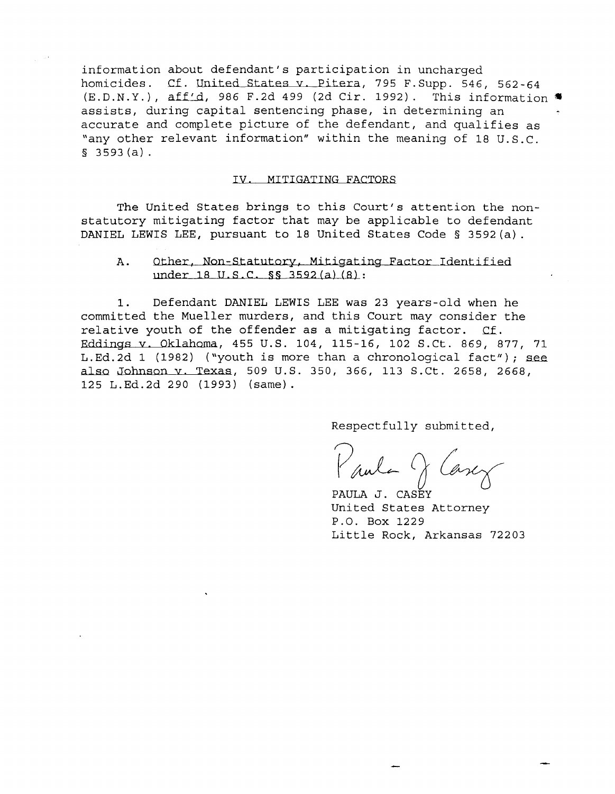information about defendant's participation in uncharged homicides. Cf. United States v. Pitera, 795 F. Supp. 546, 562-64  $(E.D.N.Y.)$ , aff'd, 986 F.2d 499 (2d Cir. 1992). This information  $\blacksquare$ assists, during capital sentencing phase, in determining an accurate and complete picture of the defendant, and qualifies as "any other relevant information" within the meaning of 18 U.S.C.  $$3593(a)$ .

#### IV. MITIGATING FACTORS

The United States brings to this Court's attention the nonstatutory mitigating factor that may be applicable to defendant DANIEL LEWIS LEE, pursuant to 18 United States Code § 3592(a).

### A. Other, Non-Statutory. Mitigating Factor Identified under 18 U.S.C. §§ 3592 (a) (8):

1. Defendant DANIEL LEWIS LEE was 23 years-old when he committed the Mueller murders, and this Court may consider the relative youth of the offender as a mitigating factor. Cf. Eddings v. Oklahoma, 455 U.S. 104, 115-16, 102 S.Ct. 869, 877, 71 L.Ed.2d 1 (1982) ("youth is more than a chronological fact"); see also Johnson v. Texas, 509 U.S. 350, 366, 113 S.Ct. 2658, 2668, 125 L.Ed.2d 290 (1993) (same).

Respectfully submitted,

 $\frac{1}{2}$  function  $\frac{1}{2}$ 

PAULA J. CASEY United States Attorney P.O. Box 1229 Little Rock, Arkansas 72203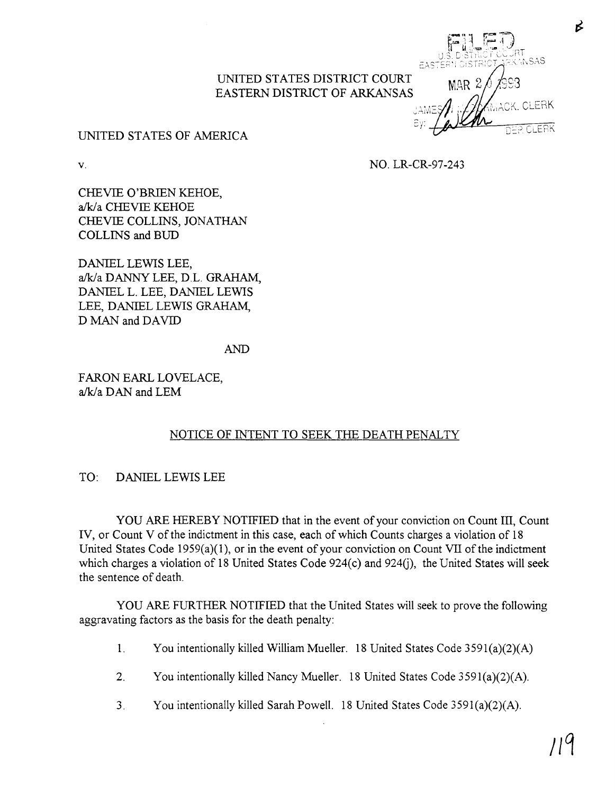

B

## UNITED STATES OF AMERICA

v.

NO. LR-CR-97-243

CHEVIE O'BRIEN KEHOE, a/k/a CHEVIE KEHOE CHEVIE COLLINS, JONATHAN COLLINS and BUD

DANIEL LEWIS LEE, aJk/a DANNY LEE, D.L. GRAHAM, DANIEL L. LEE, DANIEL LEWIS LEE, DANIEL LEWIS GRAHAM, D MAN and DAVID

AND

FARON EARL LOVELACE, a/k/a DAN and LEM

# NOTICE OF INTENT TO SEEK THE DEATH PENALTY

## TO: DANIEL LEWIS LEE

YOU ARE HEREBY NOTIFIED that in the event of your conviction on Count III, Count IV, or Count V of the indictment in this case, each of which Counts charges a violation of 18 United States Code 1959(a)(I), or in the event of your conviction on Count VII of the indictment which charges a violation of 18 United States Code  $924(c)$  and  $924(i)$ , the United States will seek the sentence of death.

YOU ARE FURTHER NOTIFIED that the United States will seek to prove the following aggravating factors as the basis for the death penalty:

- 1. You intentionally killed William Mueller. 18 United States Code 3591(a)(2)(A)
- 2. You intentionally killed Nancy Mueller. 18 United States Code 3591(a)(2)(A).
- 3. You intentionally killed Sarah Powell. 18 United States Code 3591(a)(2)(A).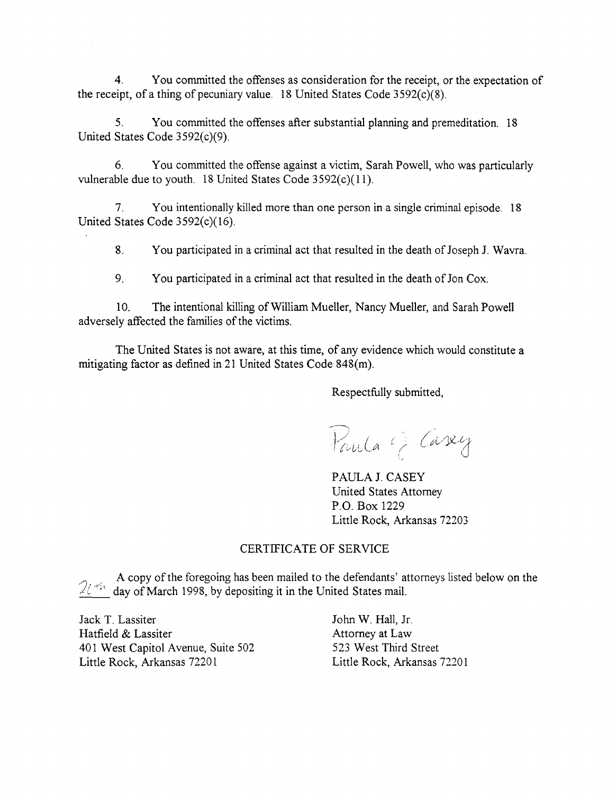4. You committed the offenses as consideration for the receipt, or the expectation of the receipt, of a thing of pecuniary value. 18 United States Code  $3592(c)(8)$ .

5. You committed the offenses after substantial planning and premeditation. 18 United States Code 3592(c)(9).

6. You committed the offense against a victim, Sarah Powell, who was particularly vulnerable due to youth. 18 United States Code  $3592(c)(11)$ .

7. You intentionally killed more than one person in a single criminal episode. 18 United States Code 3592(c)(16).

8. You participated in a criminal act that resulted in the death of Joseph J. Wavra.

9. You participated in a criminal act that resulted in the death of Jon Cox.

10. The intentional killing of William Mueller, Nancy Mueller, and Sarah Powell adversely affected the families of the victims.

The United States is not aware, at this time, of any evidence which would constitute a mitigating factor as defined in 21 United States Code 848(m).

Respectfully submitted,

Paula () Casey

PAULA J. CASEY United States Attorney P.O. Box 1229 Little Rock, Arkansas 72203

# CERTIFICATE OF SERVICE

A copy of the foregoing has been mailed to the defendants' attorneys listed below on the  $2i$ <sup>+*i*</sup> day of March 1998, by depositing it in the United States mail.

Jack T. Lassiter Hatfield & Lassiter 401 West Capitol Avenue, Suite 502 Little Rock, Arkansas 72201

John W. Hall, Jf. Attorney at Law 523 West Third Street Little Rock, Arkansas 72201